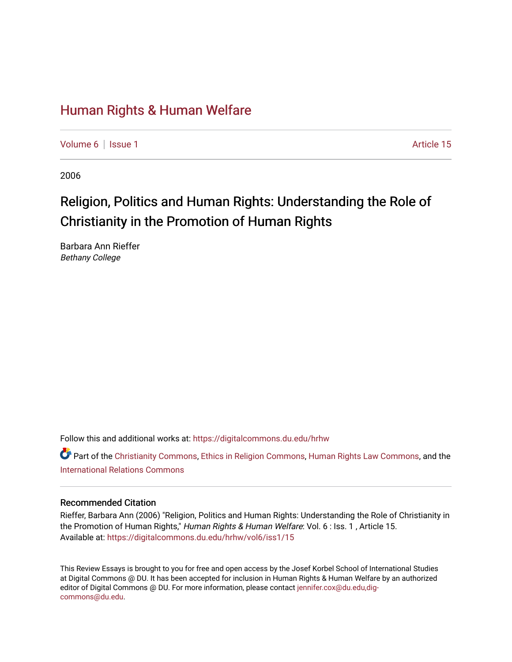# [Human Rights & Human Welfare](https://digitalcommons.du.edu/hrhw)

[Volume 6](https://digitalcommons.du.edu/hrhw/vol6) | [Issue 1](https://digitalcommons.du.edu/hrhw/vol6/iss1) Article 15

2006

# Religion, Politics and Human Rights: Understanding the Role of Christianity in the Promotion of Human Rights

Barbara Ann Rieffer Bethany College

Follow this and additional works at: [https://digitalcommons.du.edu/hrhw](https://digitalcommons.du.edu/hrhw?utm_source=digitalcommons.du.edu%2Fhrhw%2Fvol6%2Fiss1%2F15&utm_medium=PDF&utm_campaign=PDFCoverPages)

Part of the [Christianity Commons,](http://network.bepress.com/hgg/discipline/1181?utm_source=digitalcommons.du.edu%2Fhrhw%2Fvol6%2Fiss1%2F15&utm_medium=PDF&utm_campaign=PDFCoverPages) [Ethics in Religion Commons,](http://network.bepress.com/hgg/discipline/541?utm_source=digitalcommons.du.edu%2Fhrhw%2Fvol6%2Fiss1%2F15&utm_medium=PDF&utm_campaign=PDFCoverPages) [Human Rights Law Commons](http://network.bepress.com/hgg/discipline/847?utm_source=digitalcommons.du.edu%2Fhrhw%2Fvol6%2Fiss1%2F15&utm_medium=PDF&utm_campaign=PDFCoverPages), and the [International Relations Commons](http://network.bepress.com/hgg/discipline/389?utm_source=digitalcommons.du.edu%2Fhrhw%2Fvol6%2Fiss1%2F15&utm_medium=PDF&utm_campaign=PDFCoverPages)

# Recommended Citation

Rieffer, Barbara Ann (2006) "Religion, Politics and Human Rights: Understanding the Role of Christianity in the Promotion of Human Rights," Human Rights & Human Welfare: Vol. 6 : Iss. 1, Article 15. Available at: [https://digitalcommons.du.edu/hrhw/vol6/iss1/15](https://digitalcommons.du.edu/hrhw/vol6/iss1/15?utm_source=digitalcommons.du.edu%2Fhrhw%2Fvol6%2Fiss1%2F15&utm_medium=PDF&utm_campaign=PDFCoverPages) 

This Review Essays is brought to you for free and open access by the Josef Korbel School of International Studies at Digital Commons @ DU. It has been accepted for inclusion in Human Rights & Human Welfare by an authorized editor of Digital Commons @ DU. For more information, please contact [jennifer.cox@du.edu,dig](mailto:jennifer.cox@du.edu,dig-commons@du.edu)[commons@du.edu.](mailto:jennifer.cox@du.edu,dig-commons@du.edu)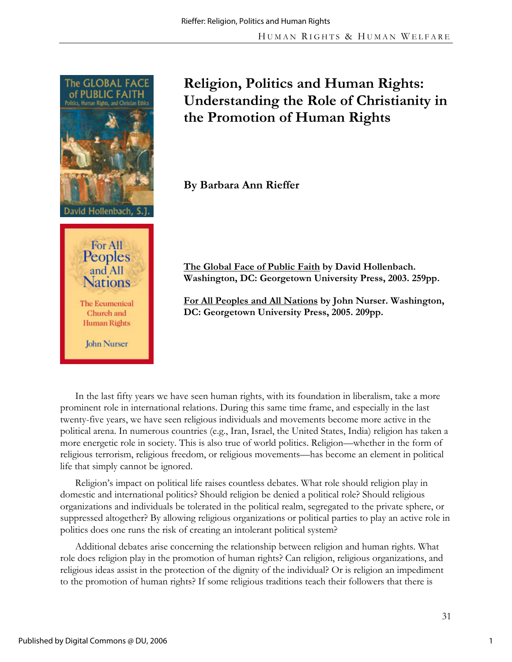

# **Religion, Politics and Human Rights: Understanding the Role of Christianity in the Promotion of Human Rights**

**By Barbara Ann Rieffer** 

**The Global Face of Public Faith by David Hollenbach. Washington, DC: Georgetown University Press, 2003. 259pp.** 

**For All Peoples and All Nations by John Nurser. Washington, DC: Georgetown University Press, 2005. 209pp.** 

In the last fifty years we have seen human rights, with its foundation in liberalism, take a more prominent role in international relations. During this same time frame, and especially in the last twenty-five years, we have seen religious individuals and movements become more active in the political arena. In numerous countries (e.g., Iran, Israel, the United States, India) religion has taken a more energetic role in society. This is also true of world politics. Religion—whether in the form of religious terrorism, religious freedom, or religious movements—has become an element in political life that simply cannot be ignored.

Religion's impact on political life raises countless debates. What role should religion play in domestic and international politics? Should religion be denied a political role? Should religious organizations and individuals be tolerated in the political realm, segregated to the private sphere, or suppressed altogether? By allowing religious organizations or political parties to play an active role in politics does one runs the risk of creating an intolerant political system?

Additional debates arise concerning the relationship between religion and human rights. What role does religion play in the promotion of human rights? Can religion, religious organizations, and religious ideas assist in the protection of the dignity of the individual? Or is religion an impediment to the promotion of human rights? If some religious traditions teach their followers that there is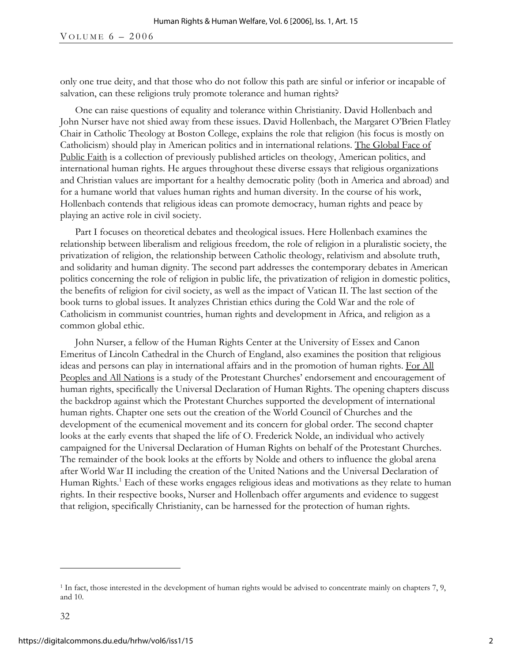only one true deity, and that those who do not follow this path are sinful or inferior or incapable of salvation, can these religions truly promote tolerance and human rights?

One can raise questions of equality and tolerance within Christianity. David Hollenbach and John Nurser have not shied away from these issues. David Hollenbach, the Margaret O'Brien Flatley Chair in Catholic Theology at Boston College, explains the role that religion (his focus is mostly on Catholicism) should play in American politics and in international relations. The Global Face of Public Faith is a collection of previously published articles on theology, American politics, and international human rights. He argues throughout these diverse essays that religious organizations and Christian values are important for a healthy democratic polity (both in America and abroad) and for a humane world that values human rights and human diversity. In the course of his work, Hollenbach contends that religious ideas can promote democracy, human rights and peace by playing an active role in civil society.

Part I focuses on theoretical debates and theological issues. Here Hollenbach examines the relationship between liberalism and religious freedom, the role of religion in a pluralistic society, the privatization of religion, the relationship between Catholic theology, relativism and absolute truth, and solidarity and human dignity. The second part addresses the contemporary debates in American politics concerning the role of religion in public life, the privatization of religion in domestic politics, the benefits of religion for civil society, as well as the impact of Vatican II. The last section of the book turns to global issues. It analyzes Christian ethics during the Cold War and the role of Catholicism in communist countries, human rights and development in Africa, and religion as a common global ethic.

John Nurser, a fellow of the Human Rights Center at the University of Essex and Canon Emeritus of Lincoln Cathedral in the Church of England, also examines the position that religious ideas and persons can play in international affairs and in the promotion of human rights. For All Peoples and All Nations is a study of the Protestant Churches' endorsement and encouragement of human rights, specifically the Universal Declaration of Human Rights. The opening chapters discuss the backdrop against which the Protestant Churches supported the development of international human rights. Chapter one sets out the creation of the World Council of Churches and the development of the ecumenical movement and its concern for global order. The second chapter looks at the early events that shaped the life of O. Frederick Nolde, an individual who actively campaigned for the Universal Declaration of Human Rights on behalf of the Protestant Churches. The remainder of the book looks at the efforts by Nolde and others to influence the global arena after World War II including the creation of the United Nations and the Universal Declaration of Human Rights.<sup>1</sup> Each of these works engages religious ideas and motivations as they relate to human rights. In their respective books, Nurser and Hollenbach offer arguments and evidence to suggest that religion, specifically Christianity, can be harnessed for the protection of human rights.

 $\overline{a}$ 

<sup>&</sup>lt;sup>1</sup> In fact, those interested in the development of human rights would be advised to concentrate mainly on chapters 7, 9, and 10.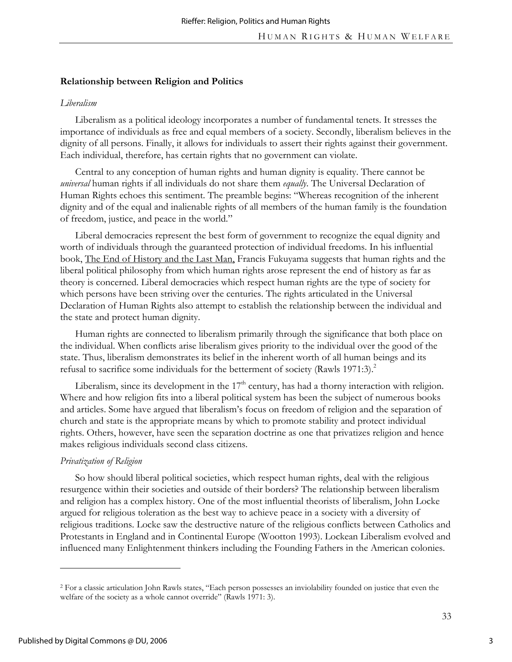#### **Relationship between Religion and Politics**

#### *Liberalism*

Liberalism as a political ideology incorporates a number of fundamental tenets. It stresses the importance of individuals as free and equal members of a society. Secondly, liberalism believes in the dignity of all persons. Finally, it allows for individuals to assert their rights against their government. Each individual, therefore, has certain rights that no government can violate.

Central to any conception of human rights and human dignity is equality. There cannot be *universal* human rights if all individuals do not share them *equally*. The Universal Declaration of Human Rights echoes this sentiment. The preamble begins: "Whereas recognition of the inherent dignity and of the equal and inalienable rights of all members of the human family is the foundation of freedom, justice, and peace in the world."

Liberal democracies represent the best form of government to recognize the equal dignity and worth of individuals through the guaranteed protection of individual freedoms. In his influential book, The End of History and the Last Man, Francis Fukuyama suggests that human rights and the liberal political philosophy from which human rights arose represent the end of history as far as theory is concerned. Liberal democracies which respect human rights are the type of society for which persons have been striving over the centuries. The rights articulated in the Universal Declaration of Human Rights also attempt to establish the relationship between the individual and the state and protect human dignity.

Human rights are connected to liberalism primarily through the significance that both place on the individual. When conflicts arise liberalism gives priority to the individual over the good of the state. Thus, liberalism demonstrates its belief in the inherent worth of all human beings and its refusal to sacrifice some individuals for the betterment of society (Rawls 1971:3).<sup>2</sup>

Liberalism, since its development in the  $17<sup>th</sup>$  century, has had a thorny interaction with religion. Where and how religion fits into a liberal political system has been the subject of numerous books and articles. Some have argued that liberalism's focus on freedom of religion and the separation of church and state is the appropriate means by which to promote stability and protect individual rights. Others, however, have seen the separation doctrine as one that privatizes religion and hence makes religious individuals second class citizens.

#### *Privatization of Religion*

So how should liberal political societies, which respect human rights, deal with the religious resurgence within their societies and outside of their borders? The relationship between liberalism and religion has a complex history. One of the most influential theorists of liberalism, John Locke argued for religious toleration as the best way to achieve peace in a society with a diversity of religious traditions. Locke saw the destructive nature of the religious conflicts between Catholics and Protestants in England and in Continental Europe (Wootton 1993). Lockean Liberalism evolved and influenced many Enlightenment thinkers including the Founding Fathers in the American colonies.

 $\overline{a}$ 

<sup>2</sup> For a classic articulation John Rawls states, "Each person possesses an inviolability founded on justice that even the welfare of the society as a whole cannot override" (Rawls 1971: 3).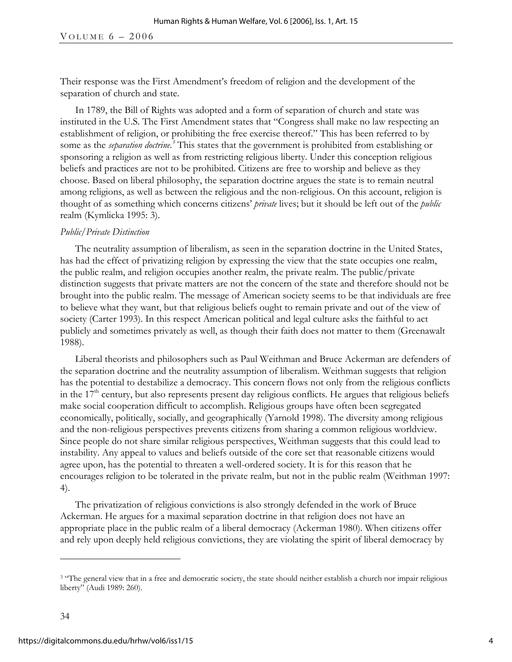Their response was the First Amendment's freedom of religion and the development of the separation of church and state.

In 1789, the Bill of Rights was adopted and a form of separation of church and state was instituted in the U.S. The First Amendment states that "Congress shall make no law respecting an establishment of religion, or prohibiting the free exercise thereof." This has been referred to by some as the *separation doctrine.*<sup>3</sup> This states that the government is prohibited from establishing or sponsoring a religion as well as from restricting religious liberty. Under this conception religious beliefs and practices are not to be prohibited. Citizens are free to worship and believe as they choose. Based on liberal philosophy, the separation doctrine argues the state is to remain neutral among religions, as well as between the religious and the non-religious. On this account, religion is thought of as something which concerns citizens' *private* lives; but it should be left out of the *public* realm (Kymlicka 1995: 3).

### *Public/Private Distinction*

The neutrality assumption of liberalism, as seen in the separation doctrine in the United States, has had the effect of privatizing religion by expressing the view that the state occupies one realm, the public realm, and religion occupies another realm, the private realm. The public/private distinction suggests that private matters are not the concern of the state and therefore should not be brought into the public realm. The message of American society seems to be that individuals are free to believe what they want, but that religious beliefs ought to remain private and out of the view of society (Carter 1993). In this respect American political and legal culture asks the faithful to act publicly and sometimes privately as well, as though their faith does not matter to them (Greenawalt 1988).

Liberal theorists and philosophers such as Paul Weithman and Bruce Ackerman are defenders of the separation doctrine and the neutrality assumption of liberalism. Weithman suggests that religion has the potential to destabilize a democracy. This concern flows not only from the religious conflicts in the 17<sup>th</sup> century, but also represents present day religious conflicts. He argues that religious beliefs make social cooperation difficult to accomplish. Religious groups have often been segregated economically, politically, socially, and geographically (Yarnold 1998). The diversity among religious and the non-religious perspectives prevents citizens from sharing a common religious worldview. Since people do not share similar religious perspectives, Weithman suggests that this could lead to instability. Any appeal to values and beliefs outside of the core set that reasonable citizens would agree upon, has the potential to threaten a well-ordered society. It is for this reason that he encourages religion to be tolerated in the private realm, but not in the public realm (Weithman 1997: 4).

The privatization of religious convictions is also strongly defended in the work of Bruce Ackerman. He argues for a maximal separation doctrine in that religion does not have an appropriate place in the public realm of a liberal democracy (Ackerman 1980). When citizens offer and rely upon deeply held religious convictions, they are violating the spirit of liberal democracy by

-

<sup>&</sup>lt;sup>3</sup> "The general view that in a free and democratic society, the state should neither establish a church nor impair religious liberty" (Audi 1989: 260).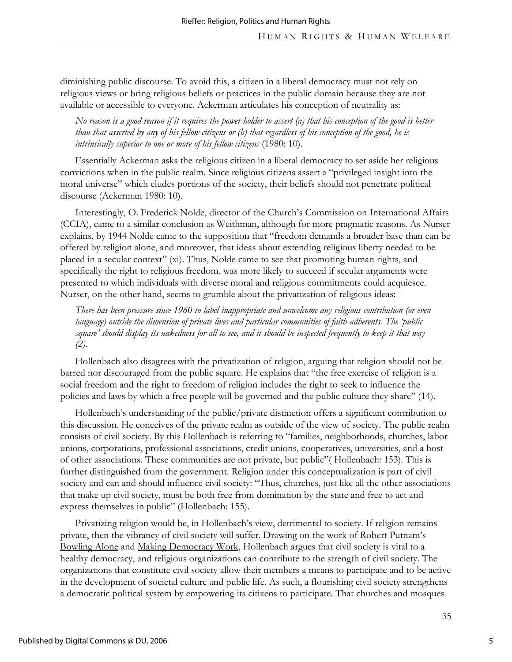diminishing public discourse. To avoid this, a citizen in a liberal democracy must not rely on religious views or bring religious beliefs or practices in the public domain because they are not available or accessible to everyone. Ackerman articulates his conception of neutrality as:

*No reason is a good reason if it requires the power holder to assert (a) that his conception of the good is better than that asserted by any of his fellow citizens or (b) that regardless of his conception of the good, he is intrinsically superior to one or more of his fellow citizens* (1980: 10).

Essentially Ackerman asks the religious citizen in a liberal democracy to set aside her religious convictions when in the public realm. Since religious citizens assert a "privileged insight into the moral universe" which eludes portions of the society, their beliefs should not penetrate political discourse (Ackerman 1980: 10).

Interestingly, O. Frederick Nolde, director of the Church's Commission on International Affairs (CCIA), came to a similar conclusion as Weithman, although for more pragmatic reasons. As Nurser explains, by 1944 Nolde came to the supposition that "freedom demands a broader base than can be offered by religion alone, and moreover, that ideas about extending religious liberty needed to be placed in a secular context" (xi). Thus, Nolde came to see that promoting human rights, and specifically the right to religious freedom, was more likely to succeed if secular arguments were presented to which individuals with diverse moral and religious commitments could acquiesce. Nurser, on the other hand, seems to grumble about the privatization of religious ideas:

*There has been pressure since 1960 to label inappropriate and unwelcome any religious contribution (or even language) outside the dimension of private lives and particular communities of faith adherents. The 'public square' should display its nakedness for all to see, and it should be inspected frequently to keep it that way (2).* 

Hollenbach also disagrees with the privatization of religion, arguing that religion should not be barred nor discouraged from the public square. He explains that "the free exercise of religion is a social freedom and the right to freedom of religion includes the right to seek to influence the policies and laws by which a free people will be governed and the public culture they share" (14).

Hollenbach's understanding of the public/private distinction offers a significant contribution to this discussion. He conceives of the private realm as outside of the view of society. The public realm consists of civil society. By this Hollenbach is referring to "families, neighborhoods, churches, labor unions, corporations, professional associations, credit unions, cooperatives, universities, and a host of other associations. These communities are not private, but public"( Hollenbach: 153). This is further distinguished from the government. Religion under this conceptualization is part of civil society and can and should influence civil society: "Thus, churches, just like all the other associations that make up civil society, must be both free from domination by the state and free to act and express themselves in public" (Hollenbach: 155).

Privatizing religion would be, in Hollenbach's view, detrimental to society. If religion remains private, then the vibrancy of civil society will suffer. Drawing on the work of Robert Putnam's Bowling Alone and Making Democracy Work, Hollenbach argues that civil society is vital to a healthy democracy, and religious organizations can contribute to the strength of civil society. The organizations that constitute civil society allow their members a means to participate and to be active in the development of societal culture and public life. As such, a flourishing civil society strengthens a democratic political system by empowering its citizens to participate. That churches and mosques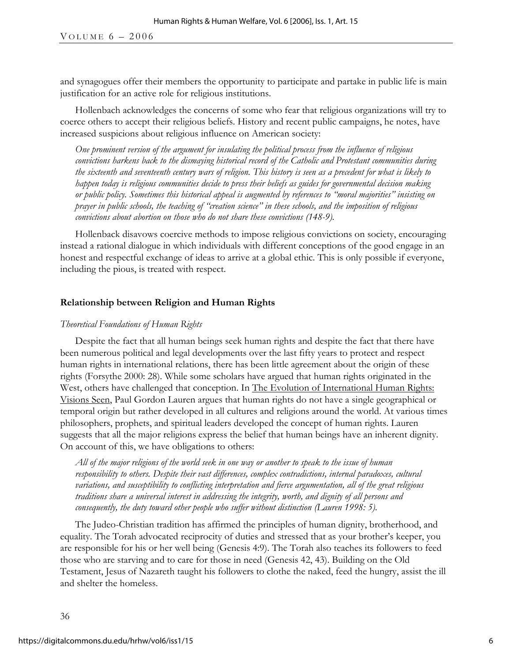and synagogues offer their members the opportunity to participate and partake in public life is main justification for an active role for religious institutions.

Hollenbach acknowledges the concerns of some who fear that religious organizations will try to coerce others to accept their religious beliefs. History and recent public campaigns, he notes, have increased suspicions about religious influence on American society:

*One prominent version of the argument for insulating the political process from the influence of religious convictions harkens back to the dismaying historical record of the Catholic and Protestant communities during the sixteenth and seventeenth century wars of religion. This history is seen as a precedent for what is likely to happen today is religious communities decide to press their beliefs as guides for governmental decision making or public policy. Sometimes this historical appeal is augmented by references to "moral majorities" insisting on prayer in public schools, the teaching of "creation science" in these schools, and the imposition of religious convictions about abortion on those who do not share these convictions (148-9).* 

Hollenback disavows coercive methods to impose religious convictions on society, encouraging instead a rational dialogue in which individuals with different conceptions of the good engage in an honest and respectful exchange of ideas to arrive at a global ethic. This is only possible if everyone, including the pious, is treated with respect.

#### **Relationship between Religion and Human Rights**

### *Theoretical Foundations of Human Rights*

Despite the fact that all human beings seek human rights and despite the fact that there have been numerous political and legal developments over the last fifty years to protect and respect human rights in international relations, there has been little agreement about the origin of these rights (Forsythe 2000: 28). While some scholars have argued that human rights originated in the West, others have challenged that conception. In The Evolution of International Human Rights: Visions Seen, Paul Gordon Lauren argues that human rights do not have a single geographical or temporal origin but rather developed in all cultures and religions around the world. At various times philosophers, prophets, and spiritual leaders developed the concept of human rights. Lauren suggests that all the major religions express the belief that human beings have an inherent dignity. On account of this, we have obligations to others:

*All of the major religions of the world seek in one way or another to speak to the issue of human responsibility to others. Despite their vast differences, complex contradictions, internal paradoxes, cultural variations, and susceptibility to conflicting interpretation and fierce argumentation, all of the great religious traditions share a universal interest in addressing the integrity, worth, and dignity of all persons and consequently, the duty toward other people who suffer without distinction (Lauren 1998: 5).*

The Judeo-Christian tradition has affirmed the principles of human dignity, brotherhood, and equality. The Torah advocated reciprocity of duties and stressed that as your brother's keeper, you are responsible for his or her well being (Genesis 4:9). The Torah also teaches its followers to feed those who are starving and to care for those in need (Genesis 42, 43). Building on the Old Testament, Jesus of Nazareth taught his followers to clothe the naked, feed the hungry, assist the ill and shelter the homeless.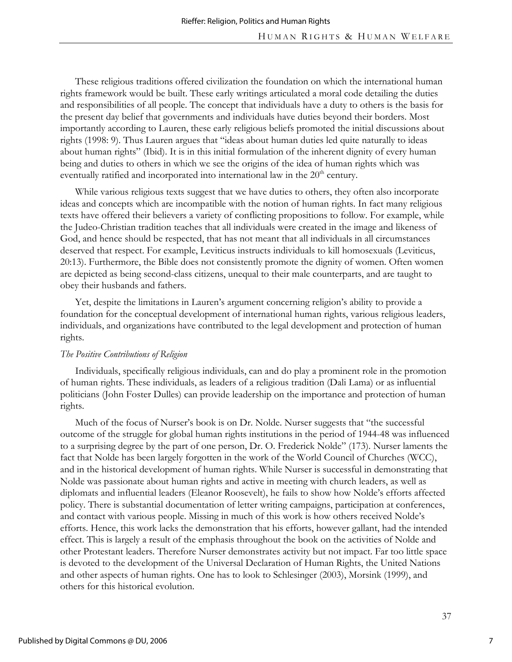These religious traditions offered civilization the foundation on which the international human rights framework would be built. These early writings articulated a moral code detailing the duties and responsibilities of all people. The concept that individuals have a duty to others is the basis for the present day belief that governments and individuals have duties beyond their borders. Most importantly according to Lauren, these early religious beliefs promoted the initial discussions about rights (1998: 9). Thus Lauren argues that "ideas about human duties led quite naturally to ideas about human rights" (Ibid). It is in this initial formulation of the inherent dignity of every human being and duties to others in which we see the origins of the idea of human rights which was eventually ratified and incorporated into international law in the  $20<sup>th</sup>$  century.

While various religious texts suggest that we have duties to others, they often also incorporate ideas and concepts which are incompatible with the notion of human rights. In fact many religious texts have offered their believers a variety of conflicting propositions to follow. For example, while the Judeo-Christian tradition teaches that all individuals were created in the image and likeness of God, and hence should be respected, that has not meant that all individuals in all circumstances deserved that respect. For example, Leviticus instructs individuals to kill homosexuals (Leviticus, 20:13). Furthermore, the Bible does not consistently promote the dignity of women. Often women are depicted as being second-class citizens, unequal to their male counterparts, and are taught to obey their husbands and fathers.

Yet, despite the limitations in Lauren's argument concerning religion's ability to provide a foundation for the conceptual development of international human rights, various religious leaders, individuals, and organizations have contributed to the legal development and protection of human rights.

## *The Positive Contributions of Religion*

Individuals, specifically religious individuals, can and do play a prominent role in the promotion of human rights. These individuals, as leaders of a religious tradition (Dali Lama) or as influential politicians (John Foster Dulles) can provide leadership on the importance and protection of human rights.

Much of the focus of Nurser's book is on Dr. Nolde. Nurser suggests that "the successful outcome of the struggle for global human rights institutions in the period of 1944-48 was influenced to a surprising degree by the part of one person, Dr. O. Frederick Nolde" (173). Nurser laments the fact that Nolde has been largely forgotten in the work of the World Council of Churches (WCC), and in the historical development of human rights. While Nurser is successful in demonstrating that Nolde was passionate about human rights and active in meeting with church leaders, as well as diplomats and influential leaders (Eleanor Roosevelt), he fails to show how Nolde's efforts affected policy. There is substantial documentation of letter writing campaigns, participation at conferences, and contact with various people. Missing in much of this work is how others received Nolde's efforts. Hence, this work lacks the demonstration that his efforts, however gallant, had the intended effect. This is largely a result of the emphasis throughout the book on the activities of Nolde and other Protestant leaders. Therefore Nurser demonstrates activity but not impact. Far too little space is devoted to the development of the Universal Declaration of Human Rights, the United Nations and other aspects of human rights. One has to look to Schlesinger (2003), Morsink (1999), and others for this historical evolution.

7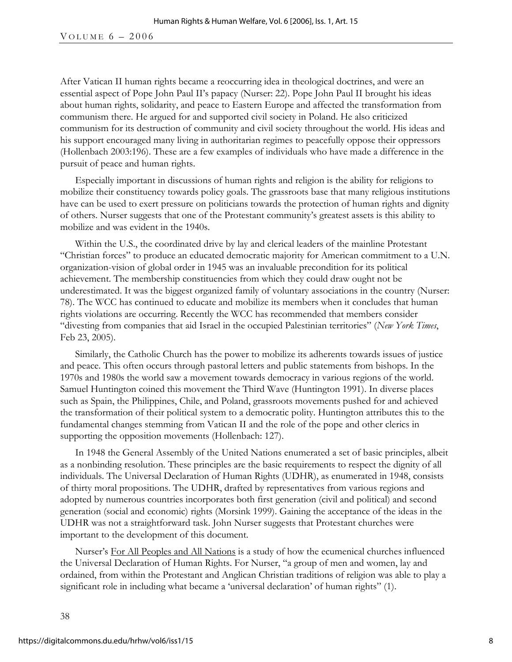After Vatican II human rights became a reoccurring idea in theological doctrines, and were an essential aspect of Pope John Paul II's papacy (Nurser: 22). Pope John Paul II brought his ideas about human rights, solidarity, and peace to Eastern Europe and affected the transformation from communism there. He argued for and supported civil society in Poland. He also criticized communism for its destruction of community and civil society throughout the world. His ideas and his support encouraged many living in authoritarian regimes to peacefully oppose their oppressors (Hollenbach 2003:196). These are a few examples of individuals who have made a difference in the pursuit of peace and human rights.

Especially important in discussions of human rights and religion is the ability for religions to mobilize their constituency towards policy goals. The grassroots base that many religious institutions have can be used to exert pressure on politicians towards the protection of human rights and dignity of others. Nurser suggests that one of the Protestant community's greatest assets is this ability to mobilize and was evident in the 1940s.

Within the U.S., the coordinated drive by lay and clerical leaders of the mainline Protestant "Christian forces" to produce an educated democratic majority for American commitment to a U.N. organization-vision of global order in 1945 was an invaluable precondition for its political achievement. The membership constituencies from which they could draw ought not be underestimated. It was the biggest organized family of voluntary associations in the country (Nurser: 78). The WCC has continued to educate and mobilize its members when it concludes that human rights violations are occurring. Recently the WCC has recommended that members consider "divesting from companies that aid Israel in the occupied Palestinian territories" (*New York Times*, Feb 23, 2005).

Similarly, the Catholic Church has the power to mobilize its adherents towards issues of justice and peace. This often occurs through pastoral letters and public statements from bishops. In the 1970s and 1980s the world saw a movement towards democracy in various regions of the world. Samuel Huntington coined this movement the Third Wave (Huntington 1991). In diverse places such as Spain, the Philippines, Chile, and Poland, grassroots movements pushed for and achieved the transformation of their political system to a democratic polity. Huntington attributes this to the fundamental changes stemming from Vatican II and the role of the pope and other clerics in supporting the opposition movements (Hollenbach: 127).

In 1948 the General Assembly of the United Nations enumerated a set of basic principles, albeit as a nonbinding resolution. These principles are the basic requirements to respect the dignity of all individuals. The Universal Declaration of Human Rights (UDHR), as enumerated in 1948, consists of thirty moral propositions. The UDHR, drafted by representatives from various regions and adopted by numerous countries incorporates both first generation (civil and political) and second generation (social and economic) rights (Morsink 1999). Gaining the acceptance of the ideas in the UDHR was not a straightforward task. John Nurser suggests that Protestant churches were important to the development of this document.

Nurser's For All Peoples and All Nations is a study of how the ecumenical churches influenced the Universal Declaration of Human Rights. For Nurser, "a group of men and women, lay and ordained, from within the Protestant and Anglican Christian traditions of religion was able to play a significant role in including what became a 'universal declaration' of human rights" (1).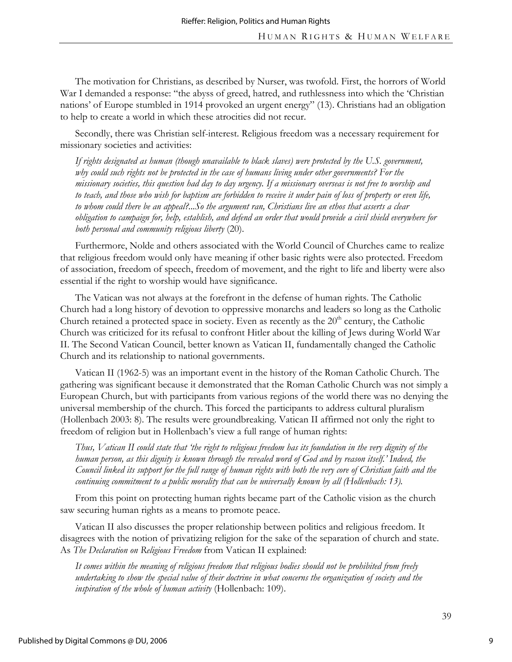The motivation for Christians, as described by Nurser, was twofold. First, the horrors of World War I demanded a response: "the abyss of greed, hatred, and ruthlessness into which the 'Christian nations' of Europe stumbled in 1914 provoked an urgent energy" (13). Christians had an obligation to help to create a world in which these atrocities did not recur.

Secondly, there was Christian self-interest. Religious freedom was a necessary requirement for missionary societies and activities:

*If rights designated as human (though unavailable to black slaves) were protected by the U.S. government, why could such rights not be protected in the case of humans living under other governments? For the missionary societies, this question had day to day urgency. If a missionary overseas is not free to worship and to teach, and those who wish for baptism are forbidden to receive it under pain of loss of property or even life, to whom could there be an appeal?...So the argument ran, Christians live an ethos that asserts a clear obligation to campaign for, help, establish, and defend an order that would provide a civil shield everywhere for both personal and community religious liberty* (20).

Furthermore, Nolde and others associated with the World Council of Churches came to realize that religious freedom would only have meaning if other basic rights were also protected. Freedom of association, freedom of speech, freedom of movement, and the right to life and liberty were also essential if the right to worship would have significance.

The Vatican was not always at the forefront in the defense of human rights. The Catholic Church had a long history of devotion to oppressive monarchs and leaders so long as the Catholic Church retained a protected space in society. Even as recently as the  $20<sup>th</sup>$  century, the Catholic Church was criticized for its refusal to confront Hitler about the killing of Jews during World War II. The Second Vatican Council, better known as Vatican II, fundamentally changed the Catholic Church and its relationship to national governments.

Vatican II (1962-5) was an important event in the history of the Roman Catholic Church. The gathering was significant because it demonstrated that the Roman Catholic Church was not simply a European Church, but with participants from various regions of the world there was no denying the universal membership of the church. This forced the participants to address cultural pluralism (Hollenbach 2003: 8). The results were groundbreaking. Vatican II affirmed not only the right to freedom of religion but in Hollenbach's view a full range of human rights:

*Thus, Vatican II could state that 'the right to religious freedom has its foundation in the very dignity of the human person, as this dignity is known through the revealed word of God and by reason itself.' Indeed, the Council linked its support for the full range of human rights with both the very core of Christian faith and the*  continuing commitment to a public morality that can be universally known by all (Hollenbach: 13).

From this point on protecting human rights became part of the Catholic vision as the church saw securing human rights as a means to promote peace.

Vatican II also discusses the proper relationship between politics and religious freedom. It disagrees with the notion of privatizing religion for the sake of the separation of church and state. As *The Declaration on Religious Freedom* from Vatican II explained:

*It comes within the meaning of religious freedom that religious bodies should not be prohibited from freely undertaking to show the special value of their doctrine in what concerns the organization of society and the inspiration of the whole of human activity* (Hollenbach: 109).

9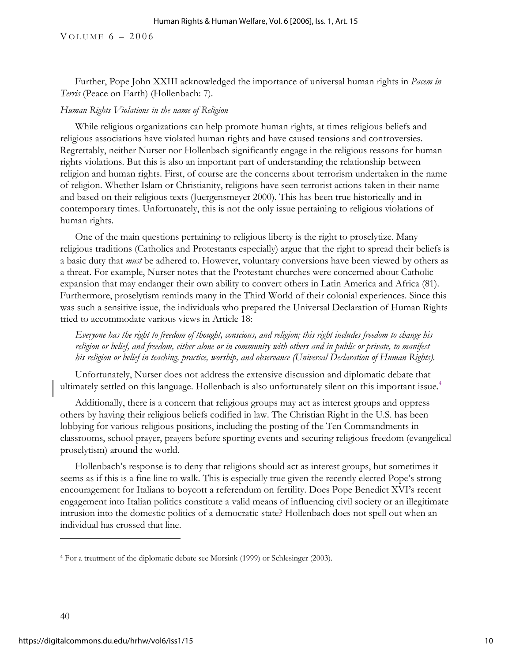Further, Pope John XXIII acknowledged the importance of universal human rights in *Pacem in Terris* (Peace on Earth) (Hollenbach: 7)*.*

## *Human Rights Violations in the name of Religion*

While religious organizations can help promote human rights, at times religious beliefs and religious associations have violated human rights and have caused tensions and controversies. Regrettably, neither Nurser nor Hollenbach significantly engage in the religious reasons for human rights violations. But this is also an important part of understanding the relationship between religion and human rights. First, of course are the concerns about terrorism undertaken in the name of religion. Whether Islam or Christianity, religions have seen terrorist actions taken in their name and based on their religious texts (Juergensmeyer 2000). This has been true historically and in contemporary times. Unfortunately, this is not the only issue pertaining to religious violations of human rights.

One of the main questions pertaining to religious liberty is the right to proselytize. Many religious traditions (Catholics and Protestants especially) argue that the right to spread their beliefs is a basic duty that *must* be adhered to. However, voluntary conversions have been viewed by others as a threat. For example, Nurser notes that the Protestant churches were concerned about Catholic expansion that may endanger their own ability to convert others in Latin America and Africa (81). Furthermore, proselytism reminds many in the Third World of their colonial experiences. Since this was such a sensitive issue, the individuals who prepared the Universal Declaration of Human Rights tried to accommodate various views in Article 18:

*Everyone has the right to freedom of thought, conscious, and religion; this right includes freedom to change his religion or belief, and freedom, either alone or in community with others and in public or private, to manifest his religion or belief in teaching, practice, worship, and observance (Universal Declaration of Human Rights).* 

Unfortunately, Nurser does not address the extensive discussion and diplomatic debate that ultimately settled on this language. Hollenbach is also unfortunately silent on this important issue. $4$ 

Additionally, there is a concern that religious groups may act as interest groups and oppress others by having their religious beliefs codified in law. The Christian Right in the U.S. has been lobbying for various religious positions, including the posting of the Ten Commandments in classrooms, school prayer, prayers before sporting events and securing religious freedom (evangelical proselytism) around the world.

Hollenbach's response is to deny that religions should act as interest groups, but sometimes it seems as if this is a fine line to walk. This is especially true given the recently elected Pope's strong encouragement for Italians to boycott a referendum on fertility. Does Pope Benedict XVI's recent engagement into Italian politics constitute a valid means of influencing civil society or an illegitimate intrusion into the domestic politics of a democratic state? Hollenbach does not spell out when an individual has crossed that line.

 $\overline{a}$ 

<sup>4</sup> For a treatment of the diplomatic debate see Morsink (1999) or Schlesinger (2003).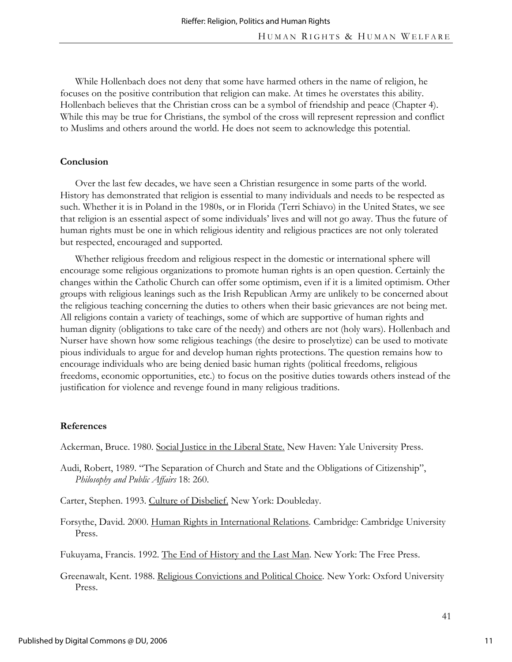While Hollenbach does not deny that some have harmed others in the name of religion, he focuses on the positive contribution that religion can make. At times he overstates this ability. Hollenbach believes that the Christian cross can be a symbol of friendship and peace (Chapter 4). While this may be true for Christians, the symbol of the cross will represent repression and conflict to Muslims and others around the world. He does not seem to acknowledge this potential.

### **Conclusion**

Over the last few decades, we have seen a Christian resurgence in some parts of the world. History has demonstrated that religion is essential to many individuals and needs to be respected as such. Whether it is in Poland in the 1980s, or in Florida (Terri Schiavo) in the United States, we see that religion is an essential aspect of some individuals' lives and will not go away. Thus the future of human rights must be one in which religious identity and religious practices are not only tolerated but respected, encouraged and supported.

Whether religious freedom and religious respect in the domestic or international sphere will encourage some religious organizations to promote human rights is an open question. Certainly the changes within the Catholic Church can offer some optimism, even if it is a limited optimism. Other groups with religious leanings such as the Irish Republican Army are unlikely to be concerned about the religious teaching concerning the duties to others when their basic grievances are not being met. All religions contain a variety of teachings, some of which are supportive of human rights and human dignity (obligations to take care of the needy) and others are not (holy wars). Hollenbach and Nurser have shown how some religious teachings (the desire to proselytize) can be used to motivate pious individuals to argue for and develop human rights protections. The question remains how to encourage individuals who are being denied basic human rights (political freedoms, religious freedoms, economic opportunities, etc.) to focus on the positive duties towards others instead of the justification for violence and revenge found in many religious traditions.

#### **References**

Ackerman, Bruce. 1980. Social Justice in the Liberal State. New Haven: Yale University Press.

Audi, Robert, 1989. "The Separation of Church and State and the Obligations of Citizenship", *Philosophy and Public Affairs* 18: 260.

Carter, Stephen. 1993. Culture of Disbelief. New York: Doubleday.

Forsythe, David. 2000. Human Rights in International Relations*.* Cambridge: Cambridge University Press.

Fukuyama, Francis. 1992. The End of History and the Last Man. New York: The Free Press.

Greenawalt, Kent. 1988. Religious Convictions and Political Choice*.* New York: Oxford University Press.